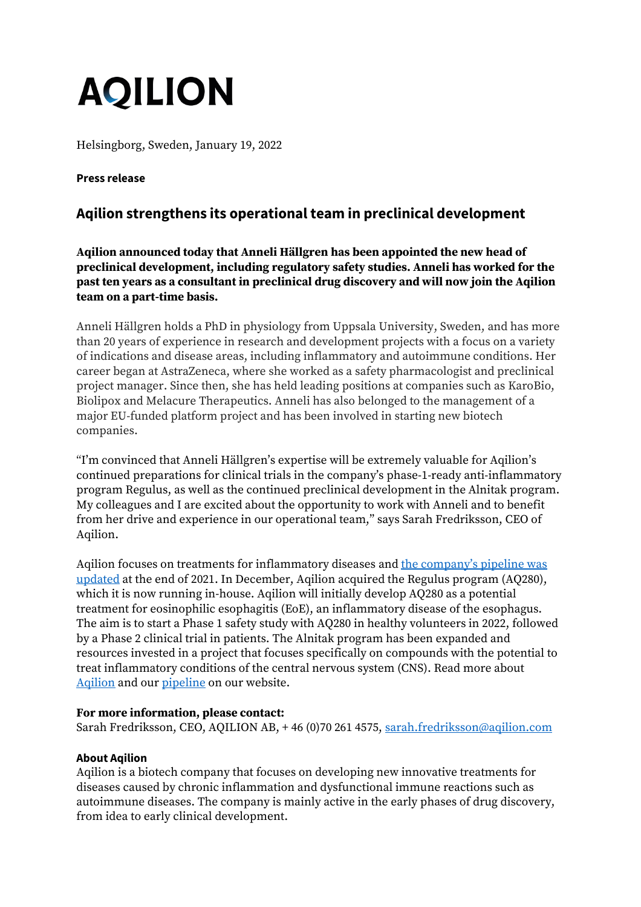# **AQILION**

Helsingborg, Sweden, January 19, 2022

## **Press release**

## **Aqilion strengthens its operational team in preclinical development**

**Aqilion announced today that Anneli Hällgren has been appointed the new head of preclinical development, including regulatory safety studies. Anneli has worked for the past ten years as a consultant in preclinical drug discovery and will now join the Aqilion team on a part-time basis.**

Anneli Hällgren holds a PhD in physiology from Uppsala University, Sweden, and has more than 20 years of experience in research and development projects with a focus on a variety of indications and disease areas, including inflammatory and autoimmune conditions. Her career began at AstraZeneca, where she worked as a safety pharmacologist and preclinical project manager. Since then, she has held leading positions at companies such as KaroBio, Biolipox and Melacure Therapeutics. Anneli has also belonged to the management of a major EU-funded platform project and has been involved in starting new biotech companies.

"I'm convinced that Anneli Hällgren's expertise will be extremely valuable for Aqilion's continued preparations for clinical trials in the company's phase-1-ready anti-inflammatory program Regulus, as well as the continued preclinical development in the Alnitak program. My colleagues and I are excited about the opportunity to work with Anneli and to benefit from her drive and experience in our operational team," says Sarah Fredriksson, CEO of Aqilion.

Aqilion focuses on treatments for inflammatory diseases and [the company's pipeline was](https://www.aqilion.com/en/aqilion-focuses-on-treatments-for-inflammatory-diseases-updates-company-pipeline/)  [updated](https://www.aqilion.com/en/aqilion-focuses-on-treatments-for-inflammatory-diseases-updates-company-pipeline/) at the end of 2021. In December, Aqilion acquired the Regulus program (AQ280), which it is now running in-house. Aqilion will initially develop AQ280 as a potential treatment for eosinophilic esophagitis (EoE), an inflammatory disease of the esophagus. The aim is to start a Phase 1 safety study with AQ280 in healthy volunteers in 2022, followed by a Phase 2 clinical trial in patients. The Alnitak program has been expanded and resources invested in a project that focuses specifically on compounds with the potential to treat inflammatory conditions of the central nervous system (CNS). Read more about Agilion and our [pipeline](https://www.aqilion.com/en/pipeline/) on our website.

### **For more information, please contact:**

Sarah Fredriksson, CEO, AQILION AB, +46 (0)70 261 4575, [sarah.fredriksson@aqilion.com](mailto:sarah.fredriksson@aqilion.com)

### **About Aqilion**

Aqilion is a biotech company that focuses on developing new innovative treatments for diseases caused by chronic inflammation and dysfunctional immune reactions such as autoimmune diseases. The company is mainly active in the early phases of drug discovery, from idea to early clinical development.